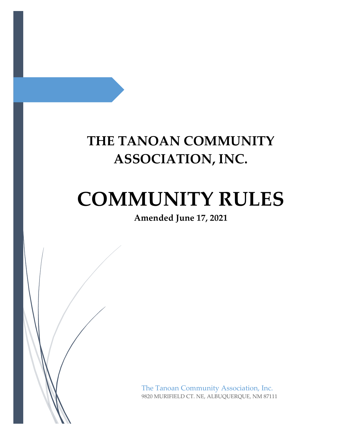## **THE TANOAN COMMUNITY ASSOCIATION, INC.**

# **COMMUNITY RULES**

**Amended June 17, 2021**

The Tanoan Community Association, Inc. 9820 MURIFIELD CT. NE, ALBUQUERQUE, NM 87111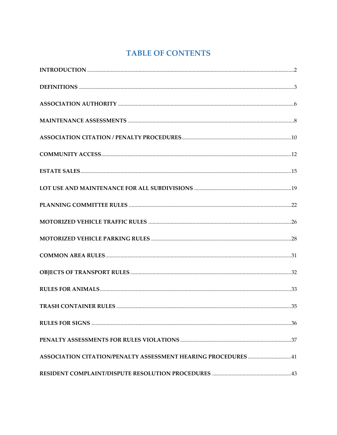## **TABLE OF CONTENTS**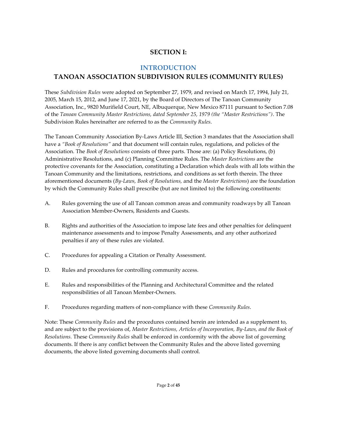## **SECTION I:**

## **INTRODUCTION**

## <span id="page-2-0"></span>**TANOAN ASSOCIATION SUBDIVISION RULES (COMMUNITY RULES)**

These *Subdivision Rules* were adopted on September 27, 1979, and revised on March 17, 1994, July 21, 2005, March 15, 2012, and June 17, 2021, by the Board of Directors of The Tanoan Community Association, Inc., 9820 Murifield Court, NE, Albuquerque, New Mexico 87111 pursuant to Section 7.08 of the *Tanoan Community Master Restrictions, dated September 25, 1979 (the "Master Restrictions")*. The Subdivision Rules hereinafter are referred to as the *Community Rules*.

The Tanoan Community Association By-Laws Article III, Section 3 mandates that the Association shall have a *"Book of Resolutions"* and that document will contain rules, regulations, and policies of the Association. The *Book of Resolutions* consists of three parts. Those are: (a) Policy Resolutions, (b) Administrative Resolutions, and (c) Planning Committee Rules. The *Master Restrictions* are the protective covenants for the Association, constituting a Declaration which deals with all lots within the Tanoan Community and the limitations, restrictions, and conditions as set forth therein. The three aforementioned documents (*By-Laws, Book of Resolutions,* and the *Master Restrictions*) are the foundation by which the Community Rules shall prescribe (but are not limited to) the following constituents:

- A. Rules governing the use of all Tanoan common areas and community roadways by all Tanoan Association Member-Owners, Residents and Guests.
- B. Rights and authorities of the Association to impose late fees and other penalties for delinquent maintenance assessments and to impose Penalty Assessments, and any other authorized penalties if any of these rules are violated.
- C. Procedures for appealing a Citation or Penalty Assessment.
- D. Rules and procedures for controlling community access.
- E. Rules and responsibilities of the Planning and Architectural Committee and the related responsibilities of all Tanoan Member-Owners.
- F. Procedures regarding matters of non-compliance with these *Community Rules*.

Note: These *Community Rules* and the procedures contained herein are intended as a supplement to, and are subject to the provisions of, *Master Restrictions, Articles of Incorporation, By-Laws, and the Book of Resolutions.* These *Community Rules* shall be enforced in conformity with the above list of governing documents. If there is any conflict between the Community Rules and the above listed governing documents, the above listed governing documents shall control.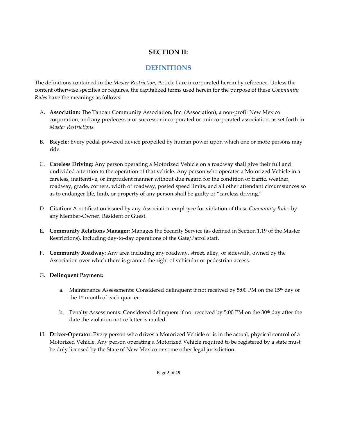## **SECTION II:**

## **DEFINITIONS**

<span id="page-3-0"></span>The definitions contained in the *Master Restriction;* Article I are incorporated herein by reference. Unless the content otherwise specifies or requires, the capitalized terms used herein for the purpose of these *Community Rules* have the meanings as follows:

- A. **Association:** The Tanoan Community Association, Inc. (Association), a non-profit New Mexico corporation, and any predecessor or successor incorporated or unincorporated association, as set forth in *Master Restrictions.*
- B. **Bicycle:** Every pedal-powered device propelled by human power upon which one or more persons may ride.
- C. **Careless Driving:** Any person operating a Motorized Vehicle on a roadway shall give their full and undivided attention to the operation of that vehicle. Any person who operates a Motorized Vehicle in a careless, inattentive, or imprudent manner without due regard for the condition of traffic, weather, roadway, grade, corners, width of roadway, posted speed limits, and all other attendant circumstances so as to endanger life, limb, or property of any person shall be guilty of "careless driving."
- D. **Citation:** A notification issued by any Association employee for violation of these *Community Rules* by any Member-Owner, Resident or Guest.
- E. **Community Relations Manager:** Manages the Security Service (as defined in Section 1.19 of the Master Restrictions), including day-to-day operations of the Gate/Patrol staff.
- F. **Community Roadway:** Any area including any roadway, street, alley, or sidewalk, owned by the Association over which there is granted the right of vehicular or pedestrian access.
- G. **Delinquent Payment:**
	- a. Maintenance Assessments: Considered delinquent if not received by 5:00 PM on the 15<sup>th</sup> day of the 1st month of each quarter.
	- b. Penalty Assessments: Considered delinquent if not received by 5:00 PM on the 30<sup>th</sup> day after the date the violation notice letter is mailed.
- H. **Driver-Operator:** Every person who drives a Motorized Vehicle or is in the actual, physical control of a Motorized Vehicle. Any person operating a Motorized Vehicle required to be registered by a state must be duly licensed by the State of New Mexico or some other legal jurisdiction.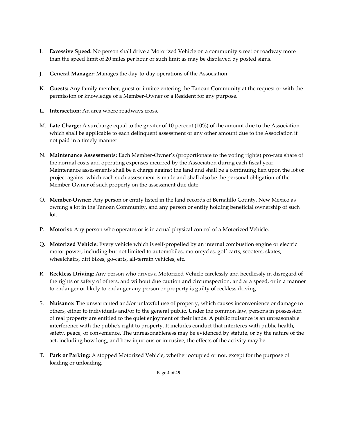- I. **Excessive Speed:** No person shall drive a Motorized Vehicle on a community street or roadway more than the speed limit of 20 miles per hour or such limit as may be displayed by posted signs.
- J. **General Manager:** Manages the day-to-day operations of the Association.
- K. **Guests:** Any family member, guest or invitee entering the Tanoan Community at the request or with the permission or knowledge of a Member-Owner or a Resident for any purpose.
- L. **Intersection:** An area where roadways cross.
- M. **Late Charge:** A surcharge equal to the greater of 10 percent (10%) of the amount due to the Association which shall be applicable to each delinquent assessment or any other amount due to the Association if not paid in a timely manner.
- N. **Maintenance Assessments:** Each Member-Owner's (proportionate to the voting rights) pro-rata share of the normal costs and operating expenses incurred by the Association during each fiscal year. Maintenance assessments shall be a charge against the land and shall be a continuing lien upon the lot or project against which each such assessment is made and shall also be the personal obligation of the Member-Owner of such property on the assessment due date.
- O. **Member-Owner:** Any person or entity listed in the land records of Bernalillo County, New Mexico as owning a lot in the Tanoan Community, and any person or entity holding beneficial ownership of such lot.
- P. **Motorist:** Any person who operates or is in actual physical control of a Motorized Vehicle.
- Q. **Motorized Vehicle:** Every vehicle which is self-propelled by an internal combustion engine or electric motor power, including but not limited to automobiles, motorcycles, golf carts, scooters, skates, wheelchairs, dirt bikes, go-carts, all-terrain vehicles, etc.
- R. **Reckless Driving:** Any person who drives a Motorized Vehicle carelessly and heedlessly in disregard of the rights or safety of others, and without due caution and circumspection, and at a speed, or in a manner to endanger or likely to endanger any person or property is guilty of reckless driving.
- S. **Nuisance:** The unwarranted and/or unlawful use of property, which causes inconvenience or damage to others, either to individuals and/or to the general public. Under the common law, persons in possession of real property are entitled to the quiet enjoyment of their lands. A public nuisance is an unreasonable interference with the public's right to property. It includes conduct that interferes with public health, safety, peace, or convenience. The unreasonableness may be evidenced by statute, or by the nature of the act, including how long, and how injurious or intrusive, the effects of the activity may be.
- T. **Park or Parking:** A stopped Motorized Vehicle, whether occupied or not, except for the purpose of loading or unloading.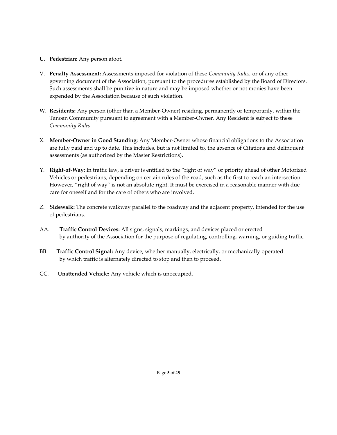- U. **Pedestrian:** Any person afoot.
- V. **Penalty Assessment:** Assessments imposed for violation of these *Community Rules,* or of any other governing document of the Association, pursuant to the procedures established by the Board of Directors. Such assessments shall be punitive in nature and may be imposed whether or not monies have been expended by the Association because of such violation.
- W. **Residents:** Any person (other than a Member-Owner) residing, permanently or temporarily, within the Tanoan Community pursuant to agreement with a Member-Owner. Any Resident is subject to these *Community Rules*.
- X. **Member-Owner in Good Standing:** Any Member-Owner whose financial obligations to the Association are fully paid and up to date. This includes, but is not limited to, the absence of Citations and delinquent assessments (as authorized by the Master Restrictions).
- Y. **Right-of-Way:** In traffic law, a driver is entitled to the "right of way" or priority ahead of other Motorized Vehicles or pedestrians, depending on certain rules of the road, such as the first to reach an intersection. However, "right of way" is not an absolute right. It must be exercised in a reasonable manner with due care for oneself and for the care of others who are involved.
- Z. **Sidewalk:** The concrete walkway parallel to the roadway and the adjacent property, intended for the use of pedestrians.
- AA. **Traffic Control Devices:** All signs, signals, markings, and devices placed or erected by authority of the Association for the purpose of regulating, controlling, warning, or guiding traffic.
- BB. **Traffic Control Signal:** Any device, whether manually, electrically, or mechanically operated by which traffic is alternately directed to stop and then to proceed.
- CC. **Unattended Vehicle:** Any vehicle which is unoccupied.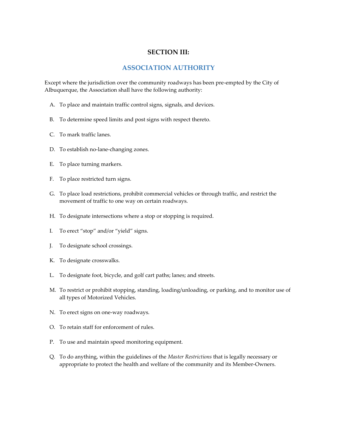#### **SECTION III:**

#### **ASSOCIATION AUTHORITY**

<span id="page-6-0"></span>Except where the jurisdiction over the community roadways has been pre-empted by the City of Albuquerque, the Association shall have the following authority:

- A. To place and maintain traffic control signs, signals, and devices.
- B. To determine speed limits and post signs with respect thereto.
- C. To mark traffic lanes.
- D. To establish no-lane-changing zones.
- E. To place turning markers.
- F. To place restricted turn signs.
- G. To place load restrictions, prohibit commercial vehicles or through traffic, and restrict the movement of traffic to one way on certain roadways.
- H. To designate intersections where a stop or stopping is required.
- I. To erect "stop" and/or "yield" signs.
- J. To designate school crossings.
- K. To designate crosswalks.
- L. To designate foot, bicycle, and golf cart paths; lanes; and streets.
- M. To restrict or prohibit stopping, standing, loading/unloading, or parking, and to monitor use of all types of Motorized Vehicles.
- N. To erect signs on one-way roadways.
- O. To retain staff for enforcement of rules.
- P. To use and maintain speed monitoring equipment.
- Q. To do anything, within the guidelines of the *Master Restrictions* that is legally necessary or appropriate to protect the health and welfare of the community and its Member-Owners.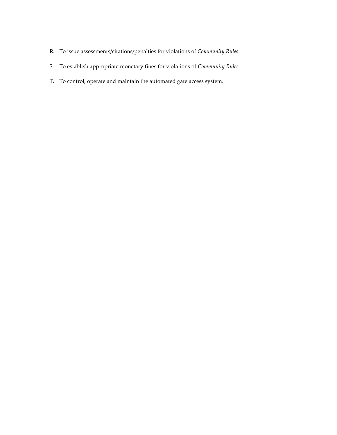- R. To issue assessments/citations/penalties for violations of *Community Rules*.
- S. To establish appropriate monetary fines for violations of *Community Rules.*
- T. To control, operate and maintain the automated gate access system.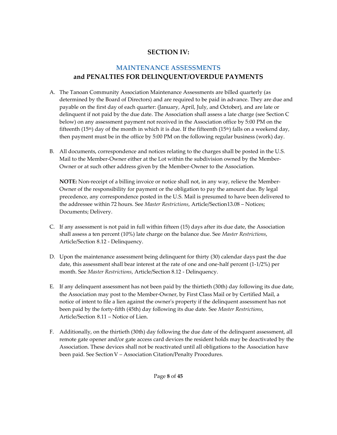## **SECTION IV:**

## **MAINTENANCE ASSESSMENTS and PENALTIES FOR DELINQUENT/OVERDUE PAYMENTS**

- <span id="page-8-0"></span>A. The Tanoan Community Association Maintenance Assessments are billed quarterly (as determined by the Board of Directors) and are required to be paid in advance. They are due and payable on the first day of each quarter: (January, April, July, and October), and are late or delinquent if not paid by the due date. The Association shall assess a late charge (see Section C below) on any assessment payment not received in the Association office by 5:00 PM on the fifteenth (15<sup>th</sup>) day of the month in which it is due. If the fifteenth (15<sup>th</sup>) falls on a weekend day, then payment must be in the office by 5:00 PM on the following regular business (work) day.
- B. All documents, correspondence and notices relating to the charges shall be posted in the U.S. Mail to the Member-Owner either at the Lot within the subdivision owned by the Member-Owner or at such other address given by the Member-Owner to the Association.

**NOTE:** Non-receipt of a billing invoice or notice shall not, in any way, relieve the Member-Owner of the responsibility for payment or the obligation to pay the amount due. By legal precedence, any correspondence posted in the U.S. Mail is presumed to have been delivered to the addressee within 72 hours. See *Master Restrictions*, Article/Section13.08 – Notices; Documents; Delivery.

- C. If any assessment is not paid in full within fifteen (15) days after its due date, the Association shall assess a ten percent (10%) late charge on the balance due. See *Master Restrictions*, Article/Section 8.12 - Delinquency.
- D. Upon the maintenance assessment being delinquent for thirty (30) calendar days past the due date, this assessment shall bear interest at the rate of one and one-half percent (1-1/2%) per month. See *Master Restrictions*, Article/Section 8.12 - Delinquency.
- E. If any delinquent assessment has not been paid by the thirtieth (30th) day following its due date, the Association may post to the Member-Owner, by First Class Mail or by Certified Mail, a notice of intent to file a lien against the owner's property if the delinquent assessment has not been paid by the forty-fifth (45th) day following its due date. See *Master Restrictions*, Article/Section 8.11 – Notice of Lien.
- F. Additionally, on the thirtieth (30th) day following the due date of the delinquent assessment, all remote gate opener and/or gate access card devices the resident holds may be deactivated by the Association. These devices shall not be reactivated until all obligations to the Association have been paid. See Section V – Association Citation/Penalty Procedures.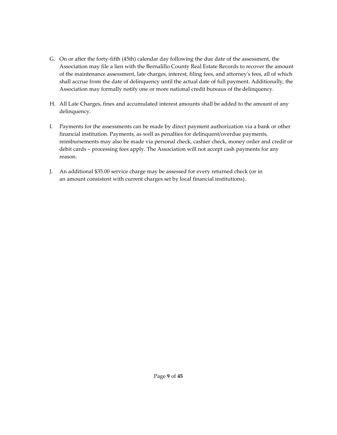- G. On or after the forty-fifth (45th) calendar day following the due date of the assessment, the Association may file a lien with the Bernalillo County Real Estate Records to recover the amount of the maintenance assessment, late charges, interest, filing fees, and attorney's fees, all of which shall accrue from the date of delinquency until the actual date of full payment. Additionally, the Association may formally notify one or more national credit bureaus of thedelinquency.
- H. All Late Charges, fines and accumulated interest amounts shall be added to the amount of any delinquency.
- I. Payments for the assessments can be made by direct payment authorization via a bank or other financial institution. Payments, as well as penalties for delinquent/overdue payments, reimbursements may also be made via personal check, cashier check, money order and credit or debit cards – processing fees apply. The Association will not accept cash payments for any reason.
- J. An additional \$35.00 service charge may be assessed for every returned check (or in an amount consistent with current charges set by local financial institutions).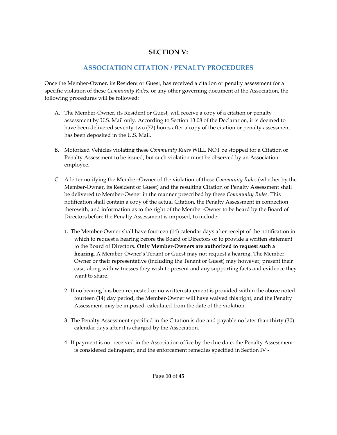## **SECTION V:**

## **ASSOCIATION CITATION / PENALTY PROCEDURES**

<span id="page-10-0"></span>Once the Member-Owner, its Resident or Guest, has received a citation or penalty assessment for a specific violation of these *Community Rules*, or any other governing document of the Association, the following procedures will be followed:

- A. The Member-Owner, its Resident or Guest, will receive a copy of a citation or penalty assessment by U.S. Mail only. According to Section 13.08 of the Declaration, it is deemed to have been delivered seventy-two (72) hours after a copy of the citation or penalty assessment has been deposited in the U.S. Mail.
- B. Motorized Vehicles violating these *Community Rules* WILL NOT be stopped for a Citation or Penalty Assessment to be issued, but such violation must be observed by an Association employee.
- C. A letter notifying the Member-Owner of the violation of these *Community Rules* (whether by the Member-Owner, its Resident or Guest) and the resulting Citation or Penalty Assessment shall be delivered to Member-Owner in the manner prescribed by these *Community Rules*. This notification shall contain a copy of the actual Citation, the Penalty Assessment in connection therewith, and information as to the right of the Member-Owner to be heard by the Board of Directors before the Penalty Assessment is imposed, to include:
	- **1.** The Member-Owner shall have fourteen (14) calendar days after receipt of the notification in which to request a hearing before the Board of Directors or to provide a written statement to the Board of Directors. **Only Member-Owners are authorized to request such a hearing.** A Member-Owner's Tenant or Guest may not request a hearing. The Member-Owner or their representative (including the Tenant or Guest) may however, present their case, along with witnesses they wish to present and any supporting facts and evidence they want to share.
	- 2. If no hearing has been requested or no written statement is provided within the above noted fourteen (14) day period, the Member-Owner will have waived this right, and the Penalty Assessment may be imposed, calculated from the date of the violation.
	- 3. The Penalty Assessment specified in the Citation is due and payable no later than thirty (30) calendar days after it is charged by the Association.
	- 4. If payment is not received in the Association office by the due date, the Penalty Assessment is considered delinquent, and the enforcement remedies specified in Section IV -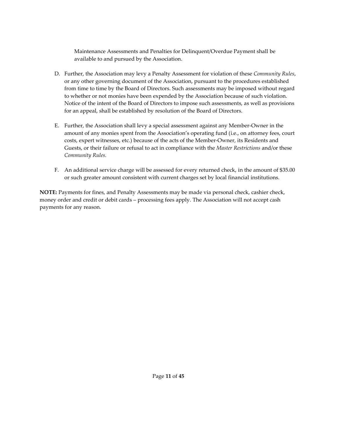Maintenance Assessments and Penalties for Delinquent/Overdue Payment shall be available to and pursued by the Association.

- D. Further, the Association may levy a Penalty Assessment for violation of these *Community Rules*, or any other governing document of the Association, pursuant to the procedures established from time to time by the Board of Directors. Such assessments may be imposed without regard to whether or not monies have been expended by the Association because of such violation. Notice of the intent of the Board of Directors to impose such assessments, as well as provisions for an appeal, shall be established by resolution of the Board of Directors.
- E. Further, the Association shall levy a special assessment against any Member-Owner in the amount of any monies spent from the Association's operating fund (i.e., on attorney fees, court costs, expert witnesses, etc.) because of the acts of the Member-Owner, its Residents and Guests, or their failure or refusal to act in compliance with the *Master Restrictions* and/or these *Community Rules.*
- F. An additional service charge will be assessed for every returned check, in the amount of \$35.00 or such greater amount consistent with current charges set by local financial institutions.

**NOTE:** Payments for fines, and Penalty Assessments may be made via personal check, cashier check, money order and credit or debit cards – processing fees apply. The Association will not accept cash payments for any reason.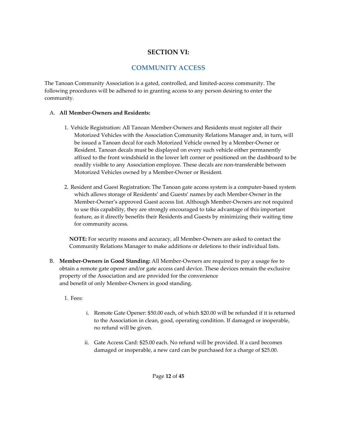## **SECTION VI:**

## **COMMUNITY ACCESS**

<span id="page-12-0"></span>The Tanoan Community Association is a gated, controlled, and limited-access community. The following procedures will be adhered to in granting access to any person desiring to enter the community.

#### A. **All Member-Owners and Residents:**

- 1. Vehicle Registration: All Tanoan Member-Owners and Residents must register all their Motorized Vehicles with the Association Community Relations Manager and, in turn, will be issued a Tanoan decal for each Motorized Vehicle owned by a Member-Owner or Resident. Tanoan decals must be displayed on every such vehicle either permanently affixed to the front windshield in the lower left corner or positioned on the dashboard to be readily visible to any Association employee. These decals are non-transferable between Motorized Vehicles owned by a Member-Owner or Resident.
- 2. Resident and Guest Registration: The Tanoan gate access system is a computer-based system which allows storage of Residents' and Guests' names by each Member-Owner in the Member-Owner's approved Guest access list. Although Member-Owners are not required to use this capability, they are strongly encouraged to take advantage of this important feature, as it directly benefits their Residents and Guests by minimizing their waiting time for community access.

**NOTE:** For security reasons and accuracy, all Member-Owners are asked to contact the Community Relations Manager to make additions or deletions to their individual lists.

- B. **Member-Owners in Good Standing:** All Member-Owners are required to pay a usage fee to obtain a remote gate opener and/or gate access card device. These devices remain the exclusive property of the Association and are provided for the convenience and benefit of only Member-Owners in good standing.
	- 1. Fees:
- i. Remote Gate Opener: \$50.00 each, of which \$20.00 will be refunded if it is returned to the Association in clean, good, operating condition. If damaged or inoperable, no refund will be given.
- ii. Gate Access Card: \$25.00 each. No refund will be provided. If a card becomes damaged or inoperable, a new card can be purchased for a charge of \$25.00.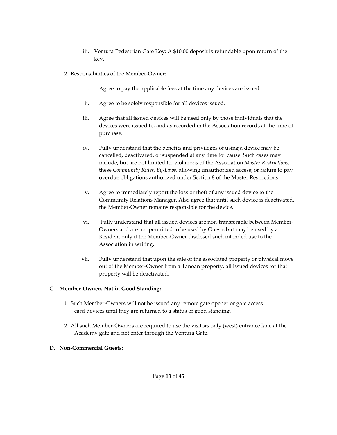- iii. Ventura Pedestrian Gate Key: A \$10.00 deposit is refundable upon return of the key.
- 2. Responsibilities of the Member-Owner:
	- i. Agree to pay the applicable fees at the time any devices are issued.
	- ii. Agree to be solely responsible for all devices issued.
	- iii. Agree that all issued devices will be used only by those individuals that the devices were issued to, and as recorded in the Association records at the time of purchase.
	- iv. Fully understand that the benefits and privileges of using a device may be cancelled, deactivated, or suspended at any time for cause. Such cases may include, but are not limited to, violations of the Association *Master Restrictions*, these *Community Rules, By-Laws,* allowing unauthorized access; or failure to pay overdue obligations authorized under Section 8 of the Master Restrictions.
	- v. Agree to immediately report the loss or theft of any issued device to the Community Relations Manager. Also agree that until such device is deactivated, the Member-Owner remains responsible for the device.
	- vi. Fully understand that all issued devices are non-transferable between Member-Owners and are not permitted to be used by Guests but may be used by a Resident only if the Member-Owner disclosed such intended use to the Association in writing.
	- vii. Fully understand that upon the sale of the associated property or physical move out of the Member-Owner from a Tanoan property, all issued devices for that property will be deactivated.

#### C. **Member-Owners Not in Good Standing:**

- 1. Such Member-Owners will not be issued any remote gate opener or gate access card devices until they are returned to a status of good standing.
- 2. All such Member-Owners are required to use the visitors only (west) entrance lane at the Academy gate and not enter through the Ventura Gate.

#### D. **Non-Commercial Guests:**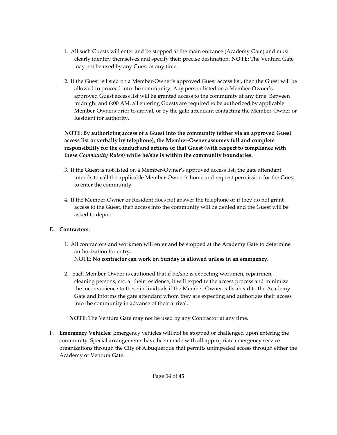- 1. All such Guests will enter and be stopped at the main entrance (Academy Gate) and must clearly identify themselves and specify their precise destination. **NOTE:** The Ventura Gate may not be used by any Guest at any time.
- 2. If the Guest is listed on a Member-Owner's approved Guest access list, then the Guest will be allowed to proceed into the community. Any person listed on a Member-Owner's approved Guest access list will be granted access to the community at any time. Between midnight and 6:00 AM, all entering Guests are required to be authorized by applicable Member-Owners prior to arrival, or by the gate attendant contacting the Member-Owner or Resident for authority.

**NOTE: By authorizing access of a Guest into the community (either via an approved Guest access list or verbally by telephone), the Member-Owner assumes full and complete responsibility for the conduct and actions of that Guest (with respect to compliance with these** *Community Rules***) while he/she is within the community boundaries.**

- 3. If the Guest is not listed on a Member-Owner's approved access list, the gate attendant intends to call the applicable Member-Owner's home and request permission for the Guest to enter the community.
- 4. If the Member-Owner or Resident does not answer the telephone or if they do not grant access to the Guest, then access into the community will be denied and the Guest will be asked to depart.

#### E. **Contractors:**

- 1. All contractors and workmen will enter and be stopped at the Academy Gate to determine authorization for entry. NOTE: **No contractor can work on Sunday is allowed unless in an emergency.**
- 2. Each Member-Owner is cautioned that if he/she is expecting workmen, repairmen, cleaning persons, etc. at their residence, it will expedite the access process and minimize the inconvenience to these individuals if the Member-Owner calls ahead to the Academy Gate and informs the gate attendant whom they are expecting and authorizes their access into the community in advance of their arrival.

**NOTE:** The Ventura Gate may not be used by any Contractor at any time.

F. **Emergency Vehicles:** Emergency vehicles will not be stopped or challenged upon entering the community. Special arrangements have been made with all appropriate emergency service organizations through the City of Albuquerque that permits unimpeded access through either the Academy or Ventura Gate.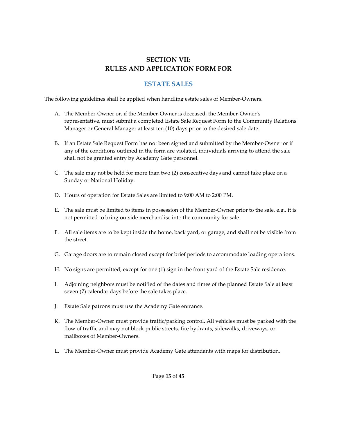## **SECTION VII: RULES AND APPLICATION FORM FOR**

## **ESTATE SALES**

<span id="page-15-0"></span>The following guidelines shall be applied when handling estate sales of Member-Owners.

- A. The Member-Owner or, if the Member-Owner is deceased, the Member-Owner's representative, must submit a completed Estate Sale Request Form to the Community Relations Manager or General Manager at least ten (10) days prior to the desired sale date.
- B. If an Estate Sale Request Form has not been signed and submitted by the Member-Owner or if any of the conditions outlined in the form are violated, individuals arriving to attend the sale shall not be granted entry by Academy Gate personnel.
- C. The sale may not be held for more than two (2) consecutive days and cannot take place on a Sunday or National Holiday.
- D. Hours of operation for Estate Sales are limited to 9:00 AM to 2:00 PM.
- E. The sale must be limited to items in possession of the Member-Owner prior to the sale, e.g., it is not permitted to bring outside merchandise into the community for sale.
- F. All sale items are to be kept inside the home, back yard, or garage, and shall not be visible from the street.
- G. Garage doors are to remain closed except for brief periods to accommodate loading operations.
- H. No signs are permitted, except for one (1) sign in the front yard of the Estate Sale residence.
- I. Adjoining neighbors must be notified of the dates and times of the planned Estate Sale at least seven (7) calendar days before the sale takes place.
- J. Estate Sale patrons must use the Academy Gate entrance.
- K. The Member-Owner must provide traffic/parking control. All vehicles must be parked with the flow of traffic and may not block public streets, fire hydrants, sidewalks, driveways, or mailboxes of Member-Owners.
- L. The Member-Owner must provide Academy Gate attendants with maps for distribution.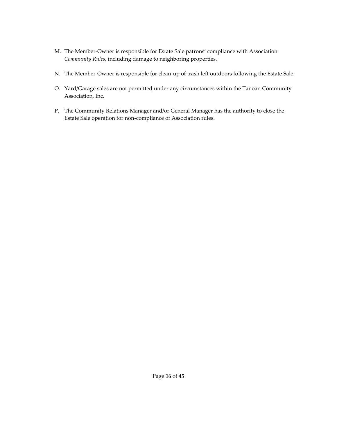- M. The Member-Owner is responsible for Estate Sale patrons' compliance with Association *Community Rules*, including damage to neighboring properties.
- N. The Member-Owner is responsible for clean-up of trash left outdoors following the Estate Sale.
- O. Yard/Garage sales are not permitted under any circumstances within the Tanoan Community Association, Inc.
- P. The Community Relations Manager and/or General Manager has the authority to close the Estate Sale operation for non-compliance of Association rules.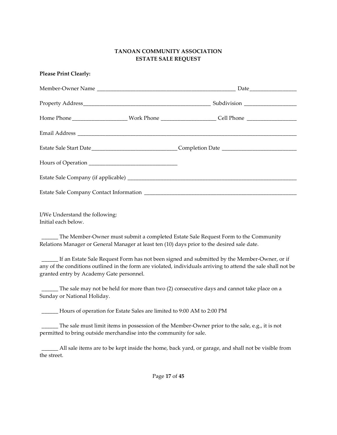#### **TANOAN COMMUNITY ASSOCIATION ESTATE SALE REQUEST**

#### **Please Print Clearly:**

|  | Home Phone __________________________Work Phone _________________________Cell Phone __________________________ |
|--|----------------------------------------------------------------------------------------------------------------|
|  |                                                                                                                |
|  | Estate Sale Start Date ___________________________________Completion Date __________________________           |
|  |                                                                                                                |
|  |                                                                                                                |
|  |                                                                                                                |

I/We Understand the following: Initial each below.

The Member-Owner must submit a completed Estate Sale Request Form to the Community Relations Manager or General Manager at least ten (10) days prior to the desired sale date.

If an Estate Sale Request Form has not been signed and submitted by the Member-Owner, or if any of the conditions outlined in the form are violated, individuals arriving to attend the sale shall not be granted entry by Academy Gate personnel.

\_\_\_\_\_\_ The sale may not be held for more than two (2) consecutive days and cannot take place on a Sunday or National Holiday.

\_\_\_\_\_\_ Hours of operation for Estate Sales are limited to 9:00 AM to 2:00 PM

\_\_\_\_\_\_ The sale must limit items in possession of the Member-Owner prior to the sale, e.g., it is not permitted to bring outside merchandise into the community for sale.

\_\_\_\_\_\_ All sale items are to be kept inside the home, back yard, or garage, and shall not be visible from the street.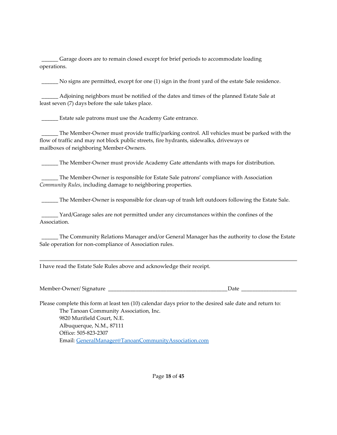Garage doors are to remain closed except for brief periods to accommodate loading operations.

No signs are permitted, except for one (1) sign in the front yard of the estate Sale residence.

\_\_\_\_\_\_ Adjoining neighbors must be notified of the dates and times of the planned Estate Sale at least seven (7) days before the sale takes place.

Estate sale patrons must use the Academy Gate entrance.

\_\_\_\_\_\_ The Member-Owner must provide traffic/parking control. All vehicles must be parked with the flow of traffic and may not block public streets, fire hydrants, sidewalks, driveways or mailboxes of neighboring Member-Owners.

\_\_\_\_\_\_ The Member-Owner must provide Academy Gate attendants with maps for distribution.

\_\_\_\_\_\_ The Member-Owner is responsible for Estate Sale patrons' compliance with Association *Community Rules*, including damage to neighboring properties.

\_\_\_\_\_\_ The Member-Owner is responsible for clean-up of trash left outdoors following the Estate Sale.

\_\_\_\_\_\_ Yard/Garage sales are not permitted under any circumstances within the confines of the Association.

\_\_\_\_\_\_ The Community Relations Manager and/or General Manager has the authority to close the Estate Sale operation for non-compliance of Association rules.

I have read the Estate Sale Rules above and acknowledge their receipt.

Member-Owner/ Signature \_\_\_\_\_\_\_\_\_\_\_\_\_\_\_\_\_\_\_\_\_\_\_\_\_\_\_\_\_\_\_\_\_\_\_\_\_\_\_\_\_\_\_Date \_\_\_\_\_\_\_\_\_\_\_\_\_\_\_\_\_\_\_\_

Please complete this form at least ten (10) calendar days prior to the desired sale date and return to: The Tanoan Community Association, Inc. 9820 Murifield Court, N.E. Albuquerque, N.M., 87111 Office: 505-823-2307 Email: [GeneralManager@TanoanCommunityAssociation.com](mailto:GeneralManager@TanoanCommunityAssociation.com)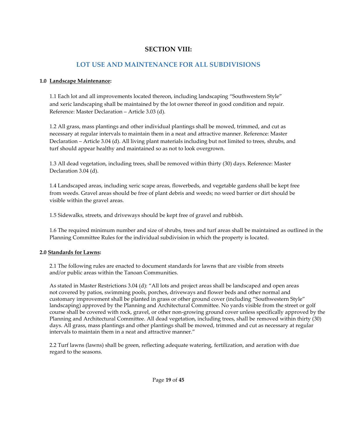## **SECTION VIII:**

## **LOT USE AND MAINTENANCE FOR ALL SUBDIVISIONS**

#### <span id="page-19-0"></span>**1.0 Landscape Maintenance:**

1.1 Each lot and all improvements located thereon, including landscaping "Southwestern Style" and xeric landscaping shall be maintained by the lot owner thereof in good condition and repair. Reference: Master Declaration – Article 3.03 (d).

1.2 All grass, mass plantings and other individual plantings shall be mowed, trimmed, and cut as necessary at regular intervals to maintain them in a neat and attractive manner. Reference: Master Declaration – Article 3.04 (d). All living plant materials including but not limited to trees, shrubs, and turf should appear healthy and maintained so as not to look overgrown.

1.3 All dead vegetation, including trees, shall be removed within thirty (30) days. Reference: Master Declaration 3.04 (d).

1.4 Landscaped areas, including xeric scape areas, flowerbeds, and vegetable gardens shall be kept free from weeds. Gravel areas should be free of plant debris and weeds; no weed barrier or dirt should be visible within the gravel areas.

1.5 Sidewalks, streets, and driveways should be kept free of gravel and rubbish.

1.6 The required minimum number and size of shrubs, trees and turf areas shall be maintained as outlined in the Planning Committee Rules for the individual subdivision in which the property is located.

#### **2.0 Standards for Lawns:**

2.1 The following rules are enacted to document standards for lawns that are visible from streets and/or public areas within the Tanoan Communities.

As stated in Master Restrictions 3.04 (d): "All lots and project areas shall be landscaped and open areas not covered by patios, swimming pools, porches, driveways and flower beds and other normal and customary improvement shall be planted in grass or other ground cover (including "Southwestern Style" landscaping) approved by the Planning and Architectural Committee. No yards visible from the street or golf course shall be covered with rock, gravel, or other non-growing ground cover unless specifically approved by the Planning and Architectural Committee. All dead vegetation, including trees, shall be removed within thirty (30) days. All grass, mass plantings and other plantings shall be mowed, trimmed and cut as necessary at regular intervals to maintain them in a neat and attractive manner."

2.2 Turf lawns (lawns) shall be green, reflecting adequate watering, fertilization, and aeration with due regard to the seasons.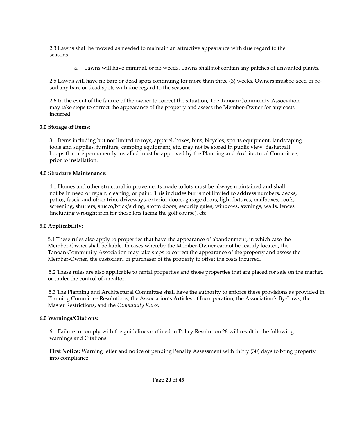2.3 Lawns shall be mowed as needed to maintain an attractive appearance with due regard to the seasons.

a. Lawns will have minimal, or no weeds. Lawns shall not contain any patches of unwanted plants.

2.5 Lawns will have no bare or dead spots continuing for more than three (3) weeks. Owners must re-seed or resod any bare or dead spots with due regard to the seasons.

2.6 In the event of the failure of the owner to correct the situation, The Tanoan Community Association may take steps to correct the appearance of the property and assess the Member-Owner for any costs incurred.

#### **3.0 Storage of Items:**

3.1 Items including but not limited to toys, apparel, boxes, bins, bicycles, sports equipment, landscaping tools and supplies, furniture, camping equipment, etc. may not be stored in public view. Basketball hoops that are permanently installed must be approved by the Planning and Architectural Committee, prior to installation.

#### **4.0 Structure Maintenance:**

4.1 Homes and other structural improvements made to lots must be always maintained and shall not be in need of repair, cleaning, or paint. This includes but is not limited to address numbers, decks, patios, fascia and other trim, driveways, exterior doors, garage doors, light fixtures, mailboxes, roofs, screening, shutters, stucco/brick/siding, storm doors, security gates, windows, awnings, walls, fences (including wrought iron for those lots facing the golf course), etc.

#### **5.0 Applicability:**

5.1 These rules also apply to properties that have the appearance of abandonment, in which case the Member-Owner shall be liable. In cases whereby the Member-Owner cannot be readily located, the Tanoan Community Association may take steps to correct the appearance of the property and assess the Member-Owner, the custodian, or purchaser of the property to offset the costs incurred.

5.2 These rules are also applicable to rental properties and those properties that are placed for sale on the market, or under the control of a realtor.

5.3 The Planning and Architectural Committee shall have the authority to enforce these provisions as provided in Planning Committee Resolutions, the Association's Articles of Incorporation, the Association's By-Laws, the Master Restrictions, and the *Community Rules*.

#### **6.0 Warnings/Citations:**

6.1 Failure to comply with the guidelines outlined in Policy Resolution 28 will result in the following warnings and Citations:

**First Notice:** Warning letter and notice of pending Penalty Assessment with thirty (30) days to bring property into compliance.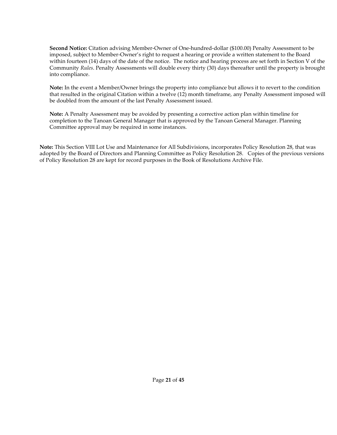**Second Notice:** Citation advising Member-Owner of One-hundred-dollar (\$100.00) Penalty Assessment to be imposed, subject to Member-Owner's right to request a hearing or provide a written statement to the Board within fourteen (14) days of the date of the notice. The notice and hearing process are set forth in Section V of the Community *Rules*. Penalty Assessments will double every thirty (30) days thereafter until the property is brought into compliance.

**Note:** In the event a Member/Owner brings the property into compliance but allows it to revert to the condition that resulted in the original Citation within a twelve (12) month timeframe, any Penalty Assessment imposed will be doubled from the amount of the last Penalty Assessment issued.

**Note:** A Penalty Assessment may be avoided by presenting a corrective action plan within timeline for completion to the Tanoan General Manager that is approved by the Tanoan General Manager. Planning Committee approval may be required in some instances.

**Note:** This Section VIII Lot Use and Maintenance for All Subdivisions, incorporates Policy Resolution 28, that was adopted by the Board of Directors and Planning Committee as Policy Resolution 28. Copies of the previous versions of Policy Resolution 28 are kept for record purposes in the Book of Resolutions Archive File.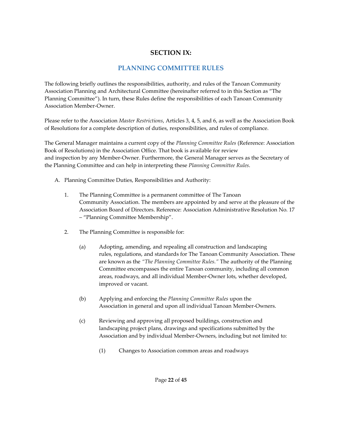## **SECTION IX:**

## **PLANNING COMMITTEE RULES**

<span id="page-22-0"></span>The following briefly outlines the responsibilities, authority, and rules of the Tanoan Community Association Planning and Architectural Committee (hereinafter referred to in this Section as "The Planning Committee"). In turn, these Rules define the responsibilities of each Tanoan Community Association Member-Owner.

Please refer to the Association *Master Restrictions*, Articles 3, 4, 5, and 6, as well as the Association Book of Resolutions for a complete description of duties, responsibilities, and rules of compliance.

The General Manager maintains a current copy of the *Planning Committee Rules* (Reference: Association Book of Resolutions) in the Association Office. That book is available for review and inspection by any Member-Owner. Furthermore, the General Manager serves as the Secretary of the Planning Committee and can help in interpreting these *Planning Committee Rules*.

- A. Planning Committee Duties, Responsibilities and Authority:
	- 1. The Planning Committee is a permanent committee of The Tanoan Community Association. The members are appointed by and serve at the pleasure of the Association Board of Directors. Reference: Association Administrative Resolution No. 17 – "Planning Committee Membership".
	- 2. The Planning Committee is responsible for:
		- (a) Adopting, amending, and repealing all construction and landscaping rules, regulations, and standards for The Tanoan Community Association. These are known as the *"The Planning Committee Rules."* The authority of the Planning Committee encompasses the entire Tanoan community, including all common areas, roadways, and all individual Member-Owner lots, whether developed, improved or vacant.
		- (b) Applying and enforcing the *Planning Committee Rules* upon the Association in general and upon all individual Tanoan Member-Owners.
		- (c) Reviewing and approving all proposed buildings, construction and landscaping project plans, drawings and specifications submitted by the Association and by individual Member-Owners, including but not limited to:
			- (1) Changes to Association common areas and roadways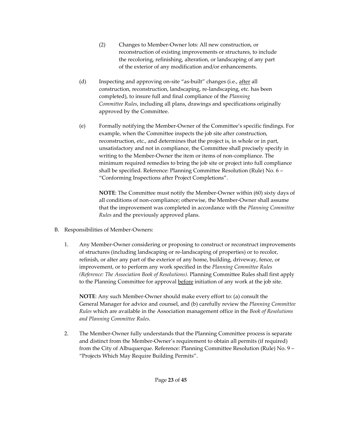- (2) Changes to Member-Owner lots: All new construction, or reconstruction of existing improvements or structures, to include the recoloring, refinishing, alteration, or landscaping of any part of the exterior of any modification and/or enhancements.
- (d) Inspecting and approving on-site "as-built" changes (i.e., after all construction, reconstruction, landscaping, re-landscaping, etc. has been completed), to insure full and final compliance of the *Planning Committee Rules*, including all plans, drawings and specifications originally approved by the Committee.
- (e) Formally notifying the Member-Owner of the Committee's specific findings. For example, when the Committee inspects the job site after construction, reconstruction, etc., and determines that the project is, in whole or in part, unsatisfactory and not in compliance, the Committee shall precisely specify in writing to the Member-Owner the item or items of non-compliance. The minimum required remedies to bring the job site or project into full compliance shall be specified. Reference: Planning Committee Resolution (Rule) No. 6 – "Conforming Inspections after Project Completions".

**NOTE**: The Committee must notify the Member-Owner within (60) sixty days of all conditions of non-compliance; otherwise, the Member-Owner shall assume that the improvement was completed in accordance with the *Planning Committee Rules* and the previously approved plans.

- B. Responsibilities of Member-Owners:
	- 1. Any Member-Owner considering or proposing to construct or reconstruct improvements of structures (including landscaping or re-landscaping of properties) or to recolor, refinish, or alter any part of the exterior of any home, building, driveway, fence, or improvement, or to perform any work specified in the *Planning Committee Rules (Reference: The Association Book of Resolutions)*. Planning Committee Rules shall first apply to the Planning Committee for approval before initiation of any work at the job site.

**NOTE**: Any such Member-Owner should make every effort to: (a) consult the General Manager for advice and counsel, and (b) carefully review the *Planning Committee Rules* which are available in the Association management office in the *Book of Resolutions and Planning Committee Rules*.

2. The Member-Owner fully understands that the Planning Committee process is separate and distinct from the Member-Owner's requirement to obtain all permits (if required) from the City of Albuquerque. Reference: Planning Committee Resolution (Rule) No. 9 – "Projects Which May Require Building Permits".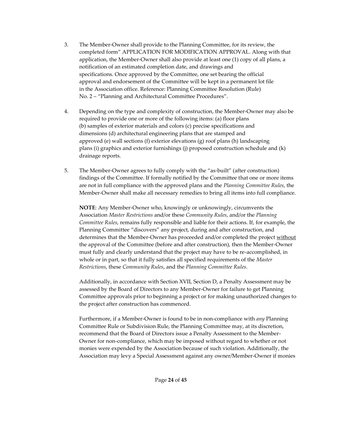- 3. The Member-Owner shall provide to the Planning Committee, for its review, the completed form" APPLICATION FOR MODIFICATION APPROVAL. Along with that application, the Member-Owner shall also provide at least one (1) copy of all plans, a notification of an estimated completion date, and drawings and specifications. Once approved by the Committee, one set bearing the official approval and endorsement of the Committee will be kept in a permanent lot file in the Association office. Reference: Planning Committee Resolution (Rule) No. 2 – "Planning and Architectural Committee Procedures".
- 4. Depending on the type and complexity of construction, the Member-Owner may also be required to provide one or more of the following items: (a) floor plans (b) samples of exterior materials and colors (c) precise specifications and dimensions (d) architectural engineering plans that are stamped and approved (e) wall sections (f) exterior elevations (g) roof plans (h) landscaping plans (i) graphics and exterior furnishings (j) proposed construction schedule and (k) drainage reports.
- 5. The Member-Owner agrees to fully comply with the "as-built" (after construction) findings of the Committee. If formally notified by the Committee that one or more items are not in full compliance with the approved plans and the *Planning Committee Rules*, the Member-Owner shall make all necessary remedies to bring all items into full compliance.

**NOTE**: Any Member-Owner who, knowingly or unknowingly, circumvents the Association *Master Restrictions* and/or these *Community Rules*, and/or the *Planning Committee Rules*, remains fully responsible and liable for their actions. If, for example, the Planning Committee "discovers" any project, during and after construction, and determines that the Member-Owner has proceeded and/or completed the project without the approval of the Committee (before and after construction), then the Member-Owner must fully and clearly understand that the project may have to be re-accomplished, in whole or in part, so that it fully satisfies all specified requirements of the *Master Restrictions*, these *Community Rules*, and the *Planning Committee Rules*.

Additionally, in accordance with Section XVII, Section D, a Penalty Assessment may be assessed by the Board of Directors to any Member-Owner for failure to get Planning Committee approvals prior to beginning a project or for making unauthorized changes to the project after construction has commenced.

Furthermore, if a Member-Owner is found to be in non-compliance with *any* Planning Committee Rule or Subdivision Rule, the Planning Committee may, at its discretion, recommend that the Board of Directors issue a Penalty Assessment to the Member-Owner for non-compliance, which may be imposed without regard to whether or not monies were expended by the Association because of such violation. Additionally, the Association may levy a Special Assessment against any owner/Member-Owner if monies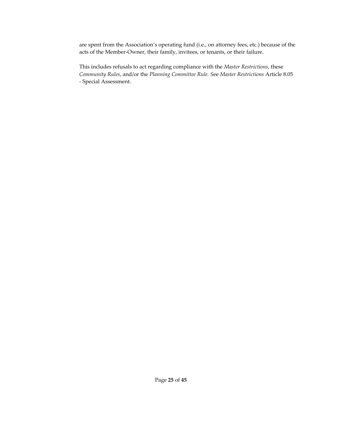are spent from the Association's operating fund (i.e., on attorney fees, etc.) because of the acts of the Member-Owner, their family, invitees, or tenants, or their failure.

This includes refusals to act regarding compliance with the *Master Restrictions*, these *Community Rules*, and/or the *Planning Committee Rule. S*ee *Master Restrictions* Article 8.05 - Special Assessment.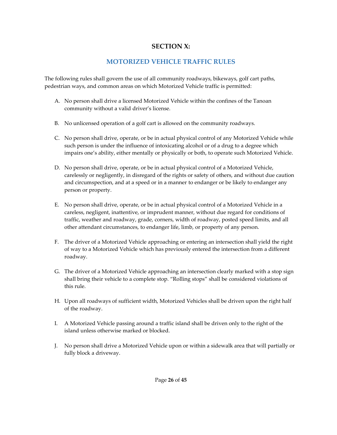## **SECTION X:**

## **MOTORIZED VEHICLE TRAFFIC RULES**

<span id="page-26-0"></span>The following rules shall govern the use of all community roadways, bikeways, golf cart paths, pedestrian ways, and common areas on which Motorized Vehicle traffic is permitted:

- A. No person shall drive a licensed Motorized Vehicle within the confines of the Tanoan community without a valid driver's license.
- B. No unlicensed operation of a golf cart is allowed on the community roadways.
- C. No person shall drive, operate, or be in actual physical control of any Motorized Vehicle while such person is under the influence of intoxicating alcohol or of a drug to a degree which impairs one's ability, either mentally or physically or both, to operate such Motorized Vehicle.
- D. No person shall drive, operate, or be in actual physical control of a Motorized Vehicle, carelessly or negligently, in disregard of the rights or safety of others, and without due caution and circumspection, and at a speed or in a manner to endanger or be likely to endanger any person or property.
- E. No person shall drive, operate, or be in actual physical control of a Motorized Vehicle in a careless, negligent, inattentive, or imprudent manner, without due regard for conditions of traffic, weather and roadway, grade, corners, width of roadway, posted speed limits, and all other attendant circumstances, to endanger life, limb, or property of any person.
- F. The driver of a Motorized Vehicle approaching or entering an intersection shall yield the right of way to a Motorized Vehicle which has previously entered the intersection from a different roadway.
- G. The driver of a Motorized Vehicle approaching an intersection clearly marked with a stop sign shall bring their vehicle to a complete stop. "Rolling stops" shall be considered violations of this rule.
- H. Upon all roadways of sufficient width, Motorized Vehicles shall be driven upon the right half of the roadway.
- I. A Motorized Vehicle passing around a traffic island shall be driven only to the right of the island unless otherwise marked or blocked.
- J. No person shall drive a Motorized Vehicle upon or within a sidewalk area that will partially or fully block a driveway.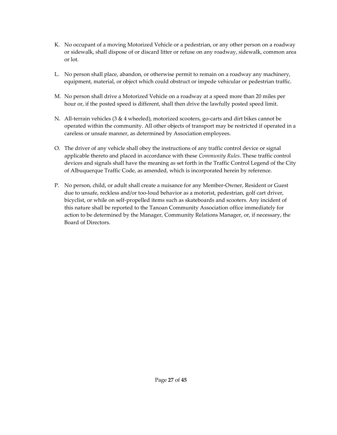- K. No occupant of a moving Motorized Vehicle or a pedestrian, or any other person on a roadway or sidewalk, shall dispose of or discard litter or refuse on any roadway, sidewalk, common area or lot.
- L. No person shall place, abandon, or otherwise permit to remain on a roadway any machinery, equipment, material, or object which could obstruct or impede vehicular or pedestrian traffic.
- M. No person shall drive a Motorized Vehicle on a roadway at a speed more than 20 miles per hour or, if the posted speed is different, shall then drive the lawfully posted speed limit.
- N. All-terrain vehicles (3 & 4 wheeled), motorized scooters, go-carts and dirt bikes cannot be operated within the community. All other objects of transport may be restricted if operated in a careless or unsafe manner, as determined by Association employees.
- O. The driver of any vehicle shall obey the instructions of any traffic control device or signal applicable thereto and placed in accordance with these *Community Rules*. These traffic control devices and signals shall have the meaning as set forth in the Traffic Control Legend of the City of Albuquerque Traffic Code, as amended, which is incorporated herein by reference.
- P. No person, child, or adult shall create a nuisance for any Member-Owner, Resident or Guest due to unsafe, reckless and/or too-loud behavior as a motorist, pedestrian, golf cart driver, bicyclist, or while on self-propelled items such as skateboards and scooters. Any incident of this nature shall be reported to the Tanoan Community Association office immediately for action to be determined by the Manager, Community Relations Manager, or, if necessary, the Board of Directors.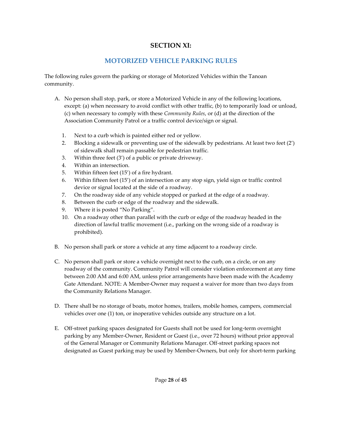## **SECTION XI:**

## **MOTORIZED VEHICLE PARKING RULES**

<span id="page-28-0"></span>The following rules govern the parking or storage of Motorized Vehicles within the Tanoan community.

- A. No person shall stop, park, or store a Motorized Vehicle in any of the following locations, except: (a) when necessary to avoid conflict with other traffic, (b) to temporarily load or unload, (c) when necessary to comply with these *Community Rules*, or (d) at the direction of the Association Community Patrol or a traffic control device/sign or signal.
	- 1. Next to a curb which is painted either red or yellow.
	- 2. Blocking a sidewalk or preventing use of the sidewalk by pedestrians. At least two feet (2') of sidewalk shall remain passable for pedestrian traffic.
	- 3. Within three feet (3') of a public or private driveway.
	- 4. Within an intersection.
	- 5. Within fifteen feet (15') of a fire hydrant.
	- 6. Within fifteen feet (15') of an intersection or any stop sign, yield sign or traffic control device or signal located at the side of a roadway.
	- 7. On the roadway side of any vehicle stopped or parked at the edge of a roadway.
	- 8. Between the curb or edge of the roadway and the sidewalk.
	- 9. Where it is posted "No Parking".
	- 10. On a roadway other than parallel with the curb or edge of the roadway headed in the direction of lawful traffic movement (i.e., parking on the wrong side of a roadway is prohibited).
- B. No person shall park or store a vehicle at any time adjacent to a roadway circle.
- C. No person shall park or store a vehicle overnight next to the curb, on a circle, or on any roadway of the community. Community Patrol will consider violation enforcement at any time between 2:00 AM and 6:00 AM, unless prior arrangements have been made with the Academy Gate Attendant. NOTE: A Member-Owner may request a waiver for more than two days from the Community Relations Manager.
- D. There shall be no storage of boats, motor homes, trailers, mobile homes, campers, commercial vehicles over one (1) ton, or inoperative vehicles outside any structure on a lot.
- E. Off-street parking spaces designated for Guests shall not be used for long-term overnight parking by any Member-Owner, Resident or Guest (i.e., over 72 hours) without prior approval of the General Manager or Community Relations Manager. Off-street parking spaces not designated as Guest parking may be used by Member-Owners, but only for short-term parking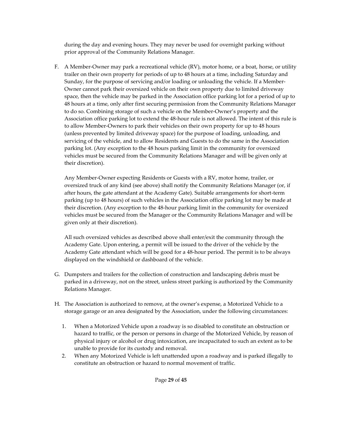during the day and evening hours. They may never be used for overnight parking without prior approval of the Community Relations Manager.

F. A Member-Owner may park a recreational vehicle (RV), motor home, or a boat, horse, or utility trailer on their own property for periods of up to 48 hours at a time, including Saturday and Sunday, for the purpose of servicing and/or loading or unloading the vehicle. If a Member-Owner cannot park their oversized vehicle on their own property due to limited driveway space, then the vehicle may be parked in the Association office parking lot for a period of up to 48 hours at a time, only after first securing permission from the Community Relations Manager to do so. Combining storage of such a vehicle on the Member-Owner's property and the Association office parking lot to extend the 48-hour rule is not allowed. The intent of this rule is to allow Member-Owners to park their vehicles on their own property for up to 48 hours (unless prevented by limited driveway space) for the purpose of loading, unloading, and servicing of the vehicle, and to allow Residents and Guests to do the same in the Association parking lot. (Any exception to the 48 hours parking limit in the community for oversized vehicles must be secured from the Community Relations Manager and will be given only at their discretion).

Any Member-Owner expecting Residents or Guests with a RV, motor home, trailer, or oversized truck of any kind (see above) shall notify the Community Relations Manager (or, if after hours, the gate attendant at the Academy Gate). Suitable arrangements for short-term parking (up to 48 hours) of such vehicles in the Association office parking lot may be made at their discretion. (Any exception to the 48-hour parking limit in the community for oversized vehicles must be secured from the Manager or the Community Relations Manager and will be given only at their discretion).

All such oversized vehicles as described above shall enter/exit the community through the Academy Gate. Upon entering, a permit will be issued to the driver of the vehicle by the Academy Gate attendant which will be good for a 48-hour period. The permit is to be always displayed on the windshield or dashboard of the vehicle.

- G. Dumpsters and trailers for the collection of construction and landscaping debris must be parked in a driveway, not on the street, unless street parking is authorized by the Community Relations Manager.
- H. The Association is authorized to remove, at the owner's expense, a Motorized Vehicle to a storage garage or an area designated by the Association, under the following circumstances:
	- 1. When a Motorized Vehicle upon a roadway is so disabled to constitute an obstruction or hazard to traffic, or the person or persons in charge of the Motorized Vehicle, by reason of physical injury or alcohol or drug intoxication, are incapacitated to such an extent as to be unable to provide for its custody and removal.
	- 2. When any Motorized Vehicle is left unattended upon a roadway and is parked illegally to constitute an obstruction or hazard to normal movement of traffic.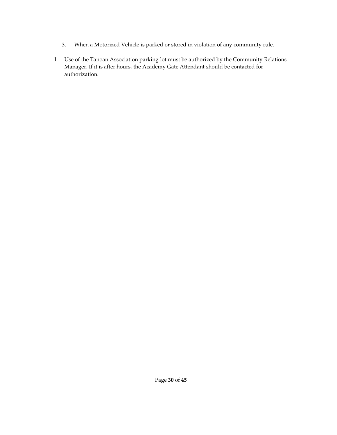- 3. When a Motorized Vehicle is parked or stored in violation of any community rule.
- I. Use of the Tanoan Association parking lot must be authorized by the Community Relations Manager. If it is after hours, the Academy Gate Attendant should be contacted for authorization.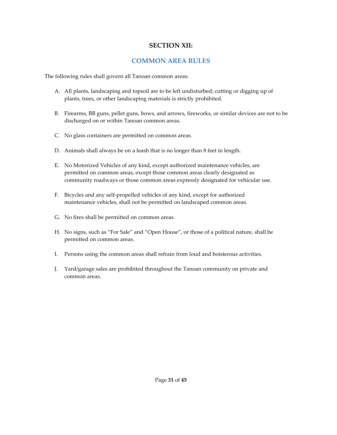## **SECTION XII:**

## **COMMON AREA RULES**

<span id="page-31-0"></span>The following rules shall govern all Tanoan common areas:

- A. All plants, landscaping and topsoil are to be left undisturbed; cutting or digging up of plants, trees, or other landscaping materials is strictly prohibited.
- B. Firearms, BB guns, pellet guns, bows, and arrows, fireworks, or similar devices are not to be discharged on or within Tanoan common areas.
- C. No glass containers are permitted on common areas.
- D. Animals shall always be on a leash that is no longer than 8 feet in length.
- E. No Motorized Vehicles of any kind, except authorized maintenance vehicles, are permitted on common areas, except those common areas clearly designated as community roadways or those common areas expressly designated for vehicular use.
- F. Bicycles and any self-propelled vehicles of any kind, except for authorized maintenance vehicles, shall not be permitted on landscaped common areas.
- G. No fires shall be permitted on common areas.
- H. No signs, such as "For Sale" and "Open House", or those of a political nature, shall be permitted on common areas.
- I. Persons using the common areas shall refrain from loud and boisterous activities.
- J. Yard/garage sales are prohibited throughout the Tanoan community on private and common areas.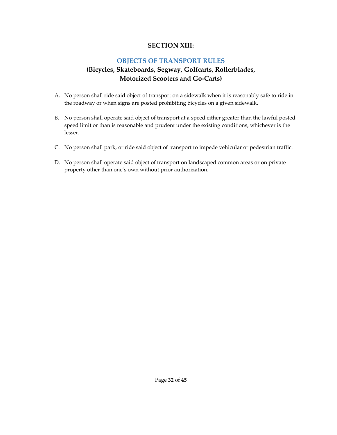## **SECTION XIII:**

## **OBJECTS OF TRANSPORT RULES**

## **(Bicycles, Skateboards, Segway, Golfcarts, Rollerblades, Motorized Scooters and Go-Carts)**

- <span id="page-32-0"></span>A. No person shall ride said object of transport on a sidewalk when it is reasonably safe to ride in the roadway or when signs are posted prohibiting bicycles on a given sidewalk.
- B. No person shall operate said object of transport at a speed either greater than the lawful posted speed limit or than is reasonable and prudent under the existing conditions, whichever is the lesser.
- C. No person shall park, or ride said object of transport to impede vehicular or pedestrian traffic.
- D. No person shall operate said object of transport on landscaped common areas or on private property other than one's own without prior authorization.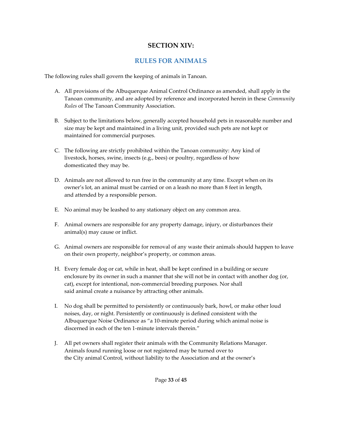## **SECTION XIV:**

## **RULES FOR ANIMALS**

<span id="page-33-0"></span>The following rules shall govern the keeping of animals in Tanoan.

- A. All provisions of the Albuquerque Animal Control Ordinance as amended, shall apply in the Tanoan community, and are adopted by reference and incorporated herein in these *Community Rules* of The Tanoan Community Association.
- B. Subject to the limitations below, generally accepted household pets in reasonable number and size may be kept and maintained in a living unit, provided such pets are not kept or maintained for commercial purposes.
- C. The following are strictly prohibited within the Tanoan community: Any kind of livestock, horses, swine, insects (e.g., bees) or poultry, regardless of how domesticated they may be.
- D. Animals are not allowed to run free in the community at any time. Except when on its owner's lot, an animal must be carried or on a leash no more than 8 feet in length, and attended by a responsible person.
- E. No animal may be leashed to any stationary object on any common area.
- F. Animal owners are responsible for any property damage, injury, or disturbances their animal(s) may cause or inflict.
- G. Animal owners are responsible for removal of any waste their animals should happen to leave on their own property, neighbor's property, or common areas.
- H. Every female dog or cat, while in heat, shall be kept confined in a building or secure enclosure by its owner in such a manner that she will not be in contact with another dog (or, cat), except for intentional, non-commercial breeding purposes. Nor shall said animal create a nuisance by attracting other animals.
- I. No dog shall be permitted to persistently or continuously bark, howl, or make other loud noises, day, or night. Persistently or continuously is defined consistent with the Albuquerque Noise Ordinance as "a 10-minute period during which animal noise is discerned in each of the ten 1-minute intervals therein."
- J. All pet owners shall register their animals with the Community Relations Manager. Animals found running loose or not registered may be turned over to the City animal Control, without liability to the Association and at the owner's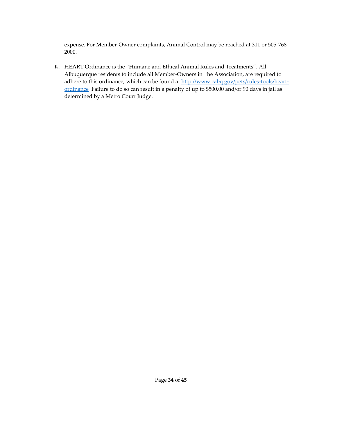expense. For Member-Owner complaints, Animal Control may be reached at 311 or 505-768- 2000.

K. HEART Ordinance is the "Humane and Ethical Animal Rules and Treatments". All Albuquerque residents to include all Member-Owners in the Association, are required to adhere to this ordinance, which can be found a[t http://www.cabq.gov/pets/rules-tools/heart](http://www.cabq.gov/pets/rules-tools/heart-ordinance)[ordinance](http://www.cabq.gov/pets/rules-tools/heart-ordinance) Failure to do so can result in a penalty of up to \$500.00 and/or 90 days in jail as determined by a Metro Court Judge.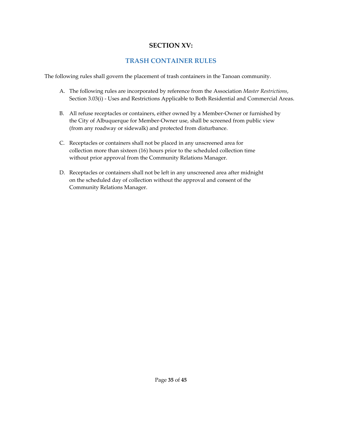## **SECTION XV:**

## **TRASH CONTAINER RULES**

<span id="page-35-0"></span>The following rules shall govern the placement of trash containers in the Tanoan community.

- A. The following rules are incorporated by reference from the Association *Master Restrictions*, Section 3.03(i) - Uses and Restrictions Applicable to Both Residential and Commercial Areas.
- B. All refuse receptacles or containers, either owned by a Member-Owner or furnished by the City of Albuquerque for Member-Owner use, shall be screened from public view (from any roadway or sidewalk) and protected from disturbance.
- C. Receptacles or containers shall not be placed in any unscreened area for collection more than sixteen (16) hours prior to the scheduled collection time without prior approval from the Community Relations Manager.
- D. Receptacles or containers shall not be left in any unscreened area after midnight on the scheduled day of collection without the approval and consent of the Community Relations Manager.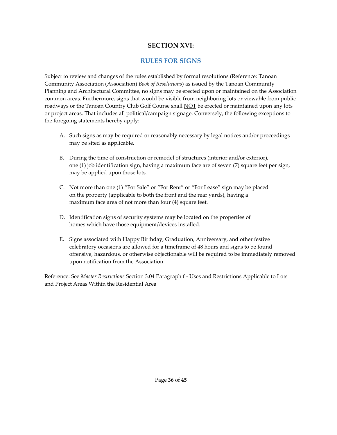## **SECTION XVI:**

## **RULES FOR SIGNS**

<span id="page-36-0"></span>Subject to review and changes of the rules established by formal resolutions (Reference: Tanoan Community Association (Association) *Book of Resolutions*) as issued by the Tanoan Community Planning and Architectural Committee, no signs may be erected upon or maintained on the Association common areas. Furthermore, signs that would be visible from neighboring lots or viewable from public roadways or the Tanoan Country Club Golf Course shall **NOT** be erected or maintained upon any lots or project areas. That includes all political/campaign signage. Conversely, the following exceptions to the foregoing statements hereby apply:

- A. Such signs as may be required or reasonably necessary by legal notices and/or proceedings may be sited as applicable.
- B. During the time of construction or remodel of structures (interior and/or exterior), one (1) job identification sign, having a maximum face are of seven (7) square feet per sign, may be applied upon those lots.
- C. Not more than one (1) "For Sale" or "For Rent" or "For Lease" sign may be placed on the property (applicable to both the front and the rear yards), having a maximum face area of not more than four (4) square feet.
- D. Identification signs of security systems may be located on the properties of homes which have those equipment/devices installed.
- E. Signs associated with Happy Birthday, Graduation, Anniversary, and other festive celebratory occasions are allowed for a timeframe of 48 hours and signs to be found offensive, hazardous, or otherwise objectionable will be required to be immediately removed upon notification from the Association.

Reference: See *Master Restrictions* Section 3.04 Paragraph f - Uses and Restrictions Applicable to Lots and Project Areas Within the Residential Area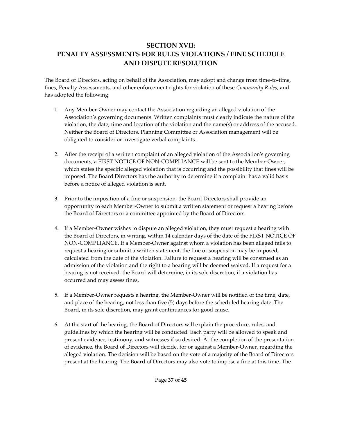## <span id="page-37-0"></span>**SECTION XVII: PENALTY ASSESSMENTS FOR RULES VIOLATIONS / FINE SCHEDULE AND DISPUTE RESOLUTION**

The Board of Directors, acting on behalf of the Association, may adopt and change from time-to-time, fines, Penalty Assessments, and other enforcement rights for violation of these *Community Rules,* and has adopted the following:

- 1. Any Member-Owner may contact the Association regarding an alleged violation of the Association's governing documents. Written complaints must clearly indicate the nature of the violation, the date, time and location of the violation and the name(s) or address of the accused. Neither the Board of Directors, Planning Committee or Association management will be obligated to consider or investigate verbal complaints.
- 2. After the receipt of a written complaint of an alleged violation of the Association's governing documents, a FIRST NOTICE OF NON-COMPLIANCE will be sent to the Member-Owner, which states the specific alleged violation that is occurring and the possibility that fines will be imposed. The Board Directors has the authority to determine if a complaint has a valid basis before a notice of alleged violation is sent.
- 3. Prior to the imposition of a fine or suspension, the Board Directors shall provide an opportunity to each Member-Owner to submit a written statement or request a hearing before the Board of Directors or a committee appointed by the Board of Directors.
- 4. If a Member-Owner wishes to dispute an alleged violation, they must request a hearing with the Board of Directors, in writing, within 14 calendar days of the date of the FIRST NOTICE OF NON-COMPLIANCE. If a Member-Owner against whom a violation has been alleged fails to request a hearing or submit a written statement, the fine or suspension may be imposed, calculated from the date of the violation. Failure to request a hearing will be construed as an admission of the violation and the right to a hearing will be deemed waived. If a request for a hearing is not received, the Board will determine, in its sole discretion, if a violation has occurred and may assess fines.
- 5. If a Member-Owner requests a hearing, the Member-Owner will be notified of the time, date, and place of the hearing, not less than five (5) days before the scheduled hearing date. The Board, in its sole discretion, may grant continuances for good cause.
- 6. At the start of the hearing, the Board of Directors will explain the procedure, rules, and guidelines by which the hearing will be conducted. Each party will be allowed to speak and present evidence, testimony, and witnesses if so desired. At the completion of the presentation of evidence, the Board of Directors will decide, for or against a Member-Owner, regarding the alleged violation. The decision will be based on the vote of a majority of the Board of Directors present at the hearing. The Board of Directors may also vote to impose a fine at this time. The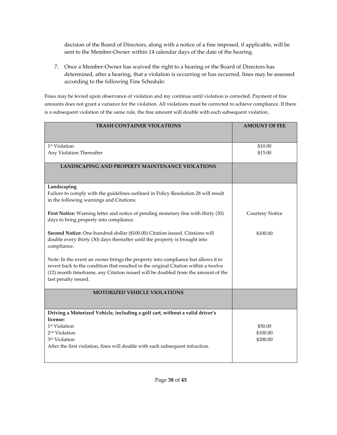decision of the Board of Directors, along with a notice of a fine imposed, if applicable, will be sent to the Member-Owner within 14 calendar days of the date of the hearing.

7. Once a Member-Owner has waived the right to a hearing or the Board of Directors has determined, after a hearing, that a violation is occurring or has occurred, fines may be assessed according to the following Fine Schedule:

Fines may be levied upon observance of violation and my continue until violation is corrected. Payment of fine amounts does not grant a variance for the violation. All violations must be corrected to achieve compliance. If there is a subsequent violation of the same rule, the fine amount will double with each subsequent violation.

| <b>TRASH CONTAINER VIOLATIONS</b>                                                                        | <b>AMOUNT OF FEE</b>   |
|----------------------------------------------------------------------------------------------------------|------------------------|
|                                                                                                          |                        |
| 1 <sup>st</sup> Violation                                                                                | \$10.00                |
| Any Violation Thereafter                                                                                 | \$15.00                |
|                                                                                                          |                        |
| LANDSCAPING AND PROPERTY MAINTENANCE VIOLATIONS                                                          |                        |
|                                                                                                          |                        |
| Landscaping                                                                                              |                        |
| Failure to comply with the guidelines outlined in Policy Resolution 28 will result                       |                        |
| in the following warnings and Citations:                                                                 |                        |
| First Notice: Warning letter and notice of pending monetary fine with thirty (30)                        |                        |
| days to bring property into compliance.                                                                  | <b>Courtesy Notice</b> |
|                                                                                                          |                        |
| Second Notice: One-hundred-dollar (\$100.00) Citation issued. Citations will                             | \$100.00               |
| double every thirty (30) days thereafter until the property is brought into                              |                        |
| compliance.                                                                                              |                        |
|                                                                                                          |                        |
| Note: In the event an owner brings the property into compliance but allows it to                         |                        |
| revert back to the condition that resulted in the original Citation within a twelve                      |                        |
| (12) month timeframe, any Citation issued will be doubled from the amount of the<br>last penalty issued. |                        |
|                                                                                                          |                        |
| MOTORIZED VEHICLE VIOLATIONS                                                                             |                        |
|                                                                                                          |                        |
|                                                                                                          |                        |
| Driving a Motorized Vehicle, including a golf cart, without a valid driver's                             |                        |
| license:                                                                                                 |                        |
| 1 <sup>st</sup> Violation                                                                                | \$50.00                |
| 2 <sup>nd</sup> Violation                                                                                | \$100.00               |
| 3rd Violation                                                                                            | \$200.00               |
| After the first violation, fines will double with each subsequent infraction.                            |                        |
|                                                                                                          |                        |
|                                                                                                          |                        |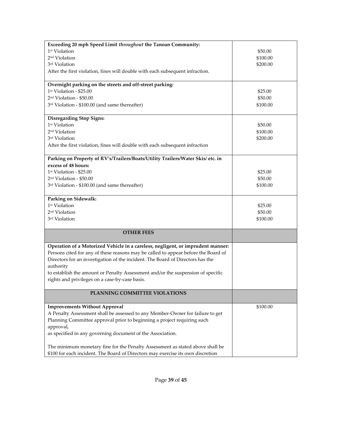| 1 <sup>st</sup> Violation<br>\$50.00<br>2 <sup>nd</sup> Violation<br>\$100.00<br>3rd Violation<br>\$200.00<br>After the first violation, fines will double with each subsequent infraction.<br>Overnight parking on the streets and off-street parking:<br>1st Violation - \$25.00<br>\$25.00<br>2 <sup>nd</sup> Violation - \$50.00<br>\$50.00<br>3 <sup>rd</sup> Violation - \$100.00 (and same thereafter)<br>\$100.00<br><b>Disregarding Stop Signs:</b><br>1 <sup>st</sup> Violation<br>\$50.00<br>2 <sup>nd</sup> Violation<br>\$100.00<br>3rd Violation<br>\$200.00<br>After the first violation, fines will double with each subsequent infraction<br>Parking on Property of RV's/Trailers/Boats/Utility Trailers/Water Skis/ etc. in<br>excess of 48 hours:<br>1st Violation - \$25.00<br>\$25.00<br>2 <sup>nd</sup> Violation - \$50.00<br>\$50.00<br>3 <sup>rd</sup> Violation - \$100.00 (and same thereafter)<br>\$100.00<br><b>Parking on Sidewalk:</b><br>1 <sup>st</sup> Violation<br>\$25.00<br>2 <sup>nd</sup> Violation<br>\$50.00<br>3rd Violation<br>\$100.00<br><b>OTHER FEES</b><br>Operation of a Motorized Vehicle in a careless, negligent, or imprudent manner:<br>Persons cited for any of these reasons may be called to appear before the Board of<br>Directors for an investigation of the incident. The Board of Directors has the<br>authority<br>to establish the amount or Penalty Assessment and/or the suspension of specific<br>rights and privileges on a case-by-case basis.<br>PLANNING COMMITTEE VIOLATIONS<br><b>Improvements Without Approval</b><br>\$100.00<br>A Penalty Assessment shall be assessed to any Member-Owner for failure to get<br>Planning Committee approval prior to beginning a project requiring such<br>approval,<br>as specified in any governing document of the Association.<br>The minimum monetary fine for the Penalty Assessment as stated above shall be<br>\$100 for each incident. The Board of Directors may exercise its own discretion | Exceeding 20 mph Speed Limit throughout the Tanoan Community: |  |
|----------------------------------------------------------------------------------------------------------------------------------------------------------------------------------------------------------------------------------------------------------------------------------------------------------------------------------------------------------------------------------------------------------------------------------------------------------------------------------------------------------------------------------------------------------------------------------------------------------------------------------------------------------------------------------------------------------------------------------------------------------------------------------------------------------------------------------------------------------------------------------------------------------------------------------------------------------------------------------------------------------------------------------------------------------------------------------------------------------------------------------------------------------------------------------------------------------------------------------------------------------------------------------------------------------------------------------------------------------------------------------------------------------------------------------------------------------------------------------------------------------------------------------------------------------------------------------------------------------------------------------------------------------------------------------------------------------------------------------------------------------------------------------------------------------------------------------------------------------------------------------------------------------------------------------------------------------------------------------------------------------------------|---------------------------------------------------------------|--|
|                                                                                                                                                                                                                                                                                                                                                                                                                                                                                                                                                                                                                                                                                                                                                                                                                                                                                                                                                                                                                                                                                                                                                                                                                                                                                                                                                                                                                                                                                                                                                                                                                                                                                                                                                                                                                                                                                                                                                                                                                      |                                                               |  |
|                                                                                                                                                                                                                                                                                                                                                                                                                                                                                                                                                                                                                                                                                                                                                                                                                                                                                                                                                                                                                                                                                                                                                                                                                                                                                                                                                                                                                                                                                                                                                                                                                                                                                                                                                                                                                                                                                                                                                                                                                      |                                                               |  |
|                                                                                                                                                                                                                                                                                                                                                                                                                                                                                                                                                                                                                                                                                                                                                                                                                                                                                                                                                                                                                                                                                                                                                                                                                                                                                                                                                                                                                                                                                                                                                                                                                                                                                                                                                                                                                                                                                                                                                                                                                      |                                                               |  |
|                                                                                                                                                                                                                                                                                                                                                                                                                                                                                                                                                                                                                                                                                                                                                                                                                                                                                                                                                                                                                                                                                                                                                                                                                                                                                                                                                                                                                                                                                                                                                                                                                                                                                                                                                                                                                                                                                                                                                                                                                      |                                                               |  |
|                                                                                                                                                                                                                                                                                                                                                                                                                                                                                                                                                                                                                                                                                                                                                                                                                                                                                                                                                                                                                                                                                                                                                                                                                                                                                                                                                                                                                                                                                                                                                                                                                                                                                                                                                                                                                                                                                                                                                                                                                      |                                                               |  |
|                                                                                                                                                                                                                                                                                                                                                                                                                                                                                                                                                                                                                                                                                                                                                                                                                                                                                                                                                                                                                                                                                                                                                                                                                                                                                                                                                                                                                                                                                                                                                                                                                                                                                                                                                                                                                                                                                                                                                                                                                      |                                                               |  |
|                                                                                                                                                                                                                                                                                                                                                                                                                                                                                                                                                                                                                                                                                                                                                                                                                                                                                                                                                                                                                                                                                                                                                                                                                                                                                                                                                                                                                                                                                                                                                                                                                                                                                                                                                                                                                                                                                                                                                                                                                      |                                                               |  |
|                                                                                                                                                                                                                                                                                                                                                                                                                                                                                                                                                                                                                                                                                                                                                                                                                                                                                                                                                                                                                                                                                                                                                                                                                                                                                                                                                                                                                                                                                                                                                                                                                                                                                                                                                                                                                                                                                                                                                                                                                      |                                                               |  |
|                                                                                                                                                                                                                                                                                                                                                                                                                                                                                                                                                                                                                                                                                                                                                                                                                                                                                                                                                                                                                                                                                                                                                                                                                                                                                                                                                                                                                                                                                                                                                                                                                                                                                                                                                                                                                                                                                                                                                                                                                      |                                                               |  |
|                                                                                                                                                                                                                                                                                                                                                                                                                                                                                                                                                                                                                                                                                                                                                                                                                                                                                                                                                                                                                                                                                                                                                                                                                                                                                                                                                                                                                                                                                                                                                                                                                                                                                                                                                                                                                                                                                                                                                                                                                      |                                                               |  |
|                                                                                                                                                                                                                                                                                                                                                                                                                                                                                                                                                                                                                                                                                                                                                                                                                                                                                                                                                                                                                                                                                                                                                                                                                                                                                                                                                                                                                                                                                                                                                                                                                                                                                                                                                                                                                                                                                                                                                                                                                      |                                                               |  |
|                                                                                                                                                                                                                                                                                                                                                                                                                                                                                                                                                                                                                                                                                                                                                                                                                                                                                                                                                                                                                                                                                                                                                                                                                                                                                                                                                                                                                                                                                                                                                                                                                                                                                                                                                                                                                                                                                                                                                                                                                      |                                                               |  |
|                                                                                                                                                                                                                                                                                                                                                                                                                                                                                                                                                                                                                                                                                                                                                                                                                                                                                                                                                                                                                                                                                                                                                                                                                                                                                                                                                                                                                                                                                                                                                                                                                                                                                                                                                                                                                                                                                                                                                                                                                      |                                                               |  |
|                                                                                                                                                                                                                                                                                                                                                                                                                                                                                                                                                                                                                                                                                                                                                                                                                                                                                                                                                                                                                                                                                                                                                                                                                                                                                                                                                                                                                                                                                                                                                                                                                                                                                                                                                                                                                                                                                                                                                                                                                      |                                                               |  |
|                                                                                                                                                                                                                                                                                                                                                                                                                                                                                                                                                                                                                                                                                                                                                                                                                                                                                                                                                                                                                                                                                                                                                                                                                                                                                                                                                                                                                                                                                                                                                                                                                                                                                                                                                                                                                                                                                                                                                                                                                      |                                                               |  |
|                                                                                                                                                                                                                                                                                                                                                                                                                                                                                                                                                                                                                                                                                                                                                                                                                                                                                                                                                                                                                                                                                                                                                                                                                                                                                                                                                                                                                                                                                                                                                                                                                                                                                                                                                                                                                                                                                                                                                                                                                      |                                                               |  |
|                                                                                                                                                                                                                                                                                                                                                                                                                                                                                                                                                                                                                                                                                                                                                                                                                                                                                                                                                                                                                                                                                                                                                                                                                                                                                                                                                                                                                                                                                                                                                                                                                                                                                                                                                                                                                                                                                                                                                                                                                      |                                                               |  |
|                                                                                                                                                                                                                                                                                                                                                                                                                                                                                                                                                                                                                                                                                                                                                                                                                                                                                                                                                                                                                                                                                                                                                                                                                                                                                                                                                                                                                                                                                                                                                                                                                                                                                                                                                                                                                                                                                                                                                                                                                      |                                                               |  |
|                                                                                                                                                                                                                                                                                                                                                                                                                                                                                                                                                                                                                                                                                                                                                                                                                                                                                                                                                                                                                                                                                                                                                                                                                                                                                                                                                                                                                                                                                                                                                                                                                                                                                                                                                                                                                                                                                                                                                                                                                      |                                                               |  |
|                                                                                                                                                                                                                                                                                                                                                                                                                                                                                                                                                                                                                                                                                                                                                                                                                                                                                                                                                                                                                                                                                                                                                                                                                                                                                                                                                                                                                                                                                                                                                                                                                                                                                                                                                                                                                                                                                                                                                                                                                      |                                                               |  |
|                                                                                                                                                                                                                                                                                                                                                                                                                                                                                                                                                                                                                                                                                                                                                                                                                                                                                                                                                                                                                                                                                                                                                                                                                                                                                                                                                                                                                                                                                                                                                                                                                                                                                                                                                                                                                                                                                                                                                                                                                      |                                                               |  |
|                                                                                                                                                                                                                                                                                                                                                                                                                                                                                                                                                                                                                                                                                                                                                                                                                                                                                                                                                                                                                                                                                                                                                                                                                                                                                                                                                                                                                                                                                                                                                                                                                                                                                                                                                                                                                                                                                                                                                                                                                      |                                                               |  |
|                                                                                                                                                                                                                                                                                                                                                                                                                                                                                                                                                                                                                                                                                                                                                                                                                                                                                                                                                                                                                                                                                                                                                                                                                                                                                                                                                                                                                                                                                                                                                                                                                                                                                                                                                                                                                                                                                                                                                                                                                      |                                                               |  |
|                                                                                                                                                                                                                                                                                                                                                                                                                                                                                                                                                                                                                                                                                                                                                                                                                                                                                                                                                                                                                                                                                                                                                                                                                                                                                                                                                                                                                                                                                                                                                                                                                                                                                                                                                                                                                                                                                                                                                                                                                      |                                                               |  |
|                                                                                                                                                                                                                                                                                                                                                                                                                                                                                                                                                                                                                                                                                                                                                                                                                                                                                                                                                                                                                                                                                                                                                                                                                                                                                                                                                                                                                                                                                                                                                                                                                                                                                                                                                                                                                                                                                                                                                                                                                      |                                                               |  |
|                                                                                                                                                                                                                                                                                                                                                                                                                                                                                                                                                                                                                                                                                                                                                                                                                                                                                                                                                                                                                                                                                                                                                                                                                                                                                                                                                                                                                                                                                                                                                                                                                                                                                                                                                                                                                                                                                                                                                                                                                      |                                                               |  |
|                                                                                                                                                                                                                                                                                                                                                                                                                                                                                                                                                                                                                                                                                                                                                                                                                                                                                                                                                                                                                                                                                                                                                                                                                                                                                                                                                                                                                                                                                                                                                                                                                                                                                                                                                                                                                                                                                                                                                                                                                      |                                                               |  |
|                                                                                                                                                                                                                                                                                                                                                                                                                                                                                                                                                                                                                                                                                                                                                                                                                                                                                                                                                                                                                                                                                                                                                                                                                                                                                                                                                                                                                                                                                                                                                                                                                                                                                                                                                                                                                                                                                                                                                                                                                      |                                                               |  |
|                                                                                                                                                                                                                                                                                                                                                                                                                                                                                                                                                                                                                                                                                                                                                                                                                                                                                                                                                                                                                                                                                                                                                                                                                                                                                                                                                                                                                                                                                                                                                                                                                                                                                                                                                                                                                                                                                                                                                                                                                      |                                                               |  |
|                                                                                                                                                                                                                                                                                                                                                                                                                                                                                                                                                                                                                                                                                                                                                                                                                                                                                                                                                                                                                                                                                                                                                                                                                                                                                                                                                                                                                                                                                                                                                                                                                                                                                                                                                                                                                                                                                                                                                                                                                      |                                                               |  |
|                                                                                                                                                                                                                                                                                                                                                                                                                                                                                                                                                                                                                                                                                                                                                                                                                                                                                                                                                                                                                                                                                                                                                                                                                                                                                                                                                                                                                                                                                                                                                                                                                                                                                                                                                                                                                                                                                                                                                                                                                      |                                                               |  |
|                                                                                                                                                                                                                                                                                                                                                                                                                                                                                                                                                                                                                                                                                                                                                                                                                                                                                                                                                                                                                                                                                                                                                                                                                                                                                                                                                                                                                                                                                                                                                                                                                                                                                                                                                                                                                                                                                                                                                                                                                      |                                                               |  |
|                                                                                                                                                                                                                                                                                                                                                                                                                                                                                                                                                                                                                                                                                                                                                                                                                                                                                                                                                                                                                                                                                                                                                                                                                                                                                                                                                                                                                                                                                                                                                                                                                                                                                                                                                                                                                                                                                                                                                                                                                      |                                                               |  |
|                                                                                                                                                                                                                                                                                                                                                                                                                                                                                                                                                                                                                                                                                                                                                                                                                                                                                                                                                                                                                                                                                                                                                                                                                                                                                                                                                                                                                                                                                                                                                                                                                                                                                                                                                                                                                                                                                                                                                                                                                      |                                                               |  |
|                                                                                                                                                                                                                                                                                                                                                                                                                                                                                                                                                                                                                                                                                                                                                                                                                                                                                                                                                                                                                                                                                                                                                                                                                                                                                                                                                                                                                                                                                                                                                                                                                                                                                                                                                                                                                                                                                                                                                                                                                      |                                                               |  |
|                                                                                                                                                                                                                                                                                                                                                                                                                                                                                                                                                                                                                                                                                                                                                                                                                                                                                                                                                                                                                                                                                                                                                                                                                                                                                                                                                                                                                                                                                                                                                                                                                                                                                                                                                                                                                                                                                                                                                                                                                      |                                                               |  |
|                                                                                                                                                                                                                                                                                                                                                                                                                                                                                                                                                                                                                                                                                                                                                                                                                                                                                                                                                                                                                                                                                                                                                                                                                                                                                                                                                                                                                                                                                                                                                                                                                                                                                                                                                                                                                                                                                                                                                                                                                      |                                                               |  |
|                                                                                                                                                                                                                                                                                                                                                                                                                                                                                                                                                                                                                                                                                                                                                                                                                                                                                                                                                                                                                                                                                                                                                                                                                                                                                                                                                                                                                                                                                                                                                                                                                                                                                                                                                                                                                                                                                                                                                                                                                      |                                                               |  |
|                                                                                                                                                                                                                                                                                                                                                                                                                                                                                                                                                                                                                                                                                                                                                                                                                                                                                                                                                                                                                                                                                                                                                                                                                                                                                                                                                                                                                                                                                                                                                                                                                                                                                                                                                                                                                                                                                                                                                                                                                      |                                                               |  |
|                                                                                                                                                                                                                                                                                                                                                                                                                                                                                                                                                                                                                                                                                                                                                                                                                                                                                                                                                                                                                                                                                                                                                                                                                                                                                                                                                                                                                                                                                                                                                                                                                                                                                                                                                                                                                                                                                                                                                                                                                      |                                                               |  |
|                                                                                                                                                                                                                                                                                                                                                                                                                                                                                                                                                                                                                                                                                                                                                                                                                                                                                                                                                                                                                                                                                                                                                                                                                                                                                                                                                                                                                                                                                                                                                                                                                                                                                                                                                                                                                                                                                                                                                                                                                      |                                                               |  |
|                                                                                                                                                                                                                                                                                                                                                                                                                                                                                                                                                                                                                                                                                                                                                                                                                                                                                                                                                                                                                                                                                                                                                                                                                                                                                                                                                                                                                                                                                                                                                                                                                                                                                                                                                                                                                                                                                                                                                                                                                      |                                                               |  |
|                                                                                                                                                                                                                                                                                                                                                                                                                                                                                                                                                                                                                                                                                                                                                                                                                                                                                                                                                                                                                                                                                                                                                                                                                                                                                                                                                                                                                                                                                                                                                                                                                                                                                                                                                                                                                                                                                                                                                                                                                      |                                                               |  |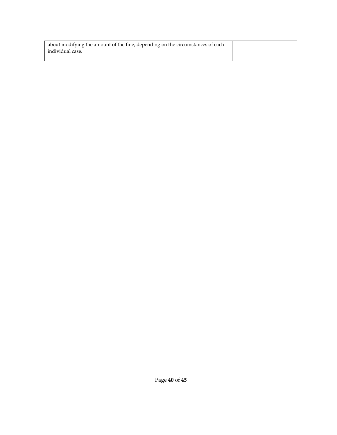| about modifying the amount of the fine, depending on the circumstances of each |  |
|--------------------------------------------------------------------------------|--|
| individual case.                                                               |  |
|                                                                                |  |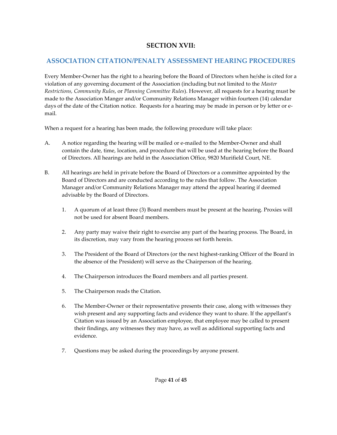## **SECTION XVII:**

## <span id="page-41-0"></span>**ASSOCIATION CITATION/PENALTY ASSESSMENT HEARING PROCEDURES**

Every Member-Owner has the right to a hearing before the Board of Directors when he/she is cited for a violation of any governing document of the Association (including but not limited to the *Master Restrictions, Community Rules*, or *Planning Committee Rules*). However, all requests for a hearing must be made to the Association Manger and/or Community Relations Manager within fourteen (14) calendar days of the date of the Citation notice. Requests for a hearing may be made in person or by letter or email.

When a request for a hearing has been made, the following procedure will take place:

- A. A notice regarding the hearing will be mailed or e-mailed to the Member-Owner and shall contain the date, time, location, and procedure that will be used at the hearing before the Board of Directors. All hearings are held in the Association Office, 9820 Murifield Court, NE.
- B. All hearings are held in private before the Board of Directors or a committee appointed by the Board of Directors and are conducted according to the rules that follow. The Association Manager and/or Community Relations Manager may attend the appeal hearing if deemed advisable by the Board of Directors.
	- 1. A quorum of at least three (3) Board members must be present at the hearing. Proxies will not be used for absent Board members.
	- 2. Any party may waive their right to exercise any part of the hearing process. The Board, in its discretion, may vary from the hearing process set forth herein.
	- 3. The President of the Board of Directors (or the next highest-ranking Officer of the Board in the absence of the President) will serve as the Chairperson of the hearing.
	- 4. The Chairperson introduces the Board members and all parties present.
	- 5. The Chairperson reads the Citation.
	- 6. The Member-Owner or their representative presents their case, along with witnesses they wish present and any supporting facts and evidence they want to share. If the appellant's Citation was issued by an Association employee, that employee may be called to present their findings, any witnesses they may have, as well as additional supporting facts and evidence.
	- 7. Questions may be asked during the proceedings by anyone present.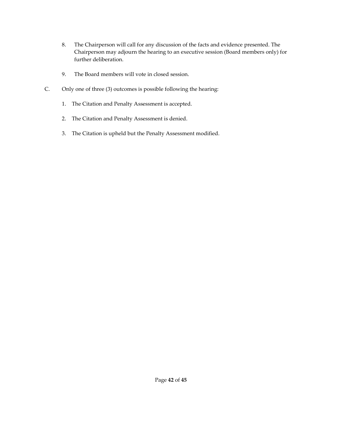- 8. The Chairperson will call for any discussion of the facts and evidence presented. The Chairperson may adjourn the hearing to an executive session (Board members only) for further deliberation.
- 9. The Board members will vote in closed session.
- C. Only one of three (3) outcomes is possible following the hearing:
	- 1. The Citation and Penalty Assessment is accepted.
	- 2. The Citation and Penalty Assessment is denied.
	- 3. The Citation is upheld but the Penalty Assessment modified.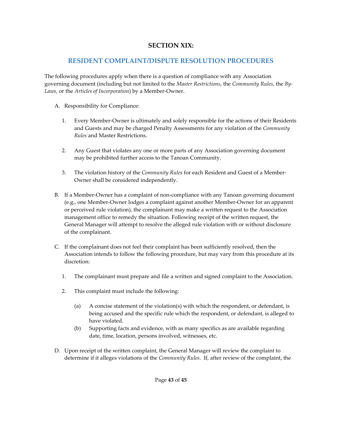## **SECTION XIX:**

## <span id="page-43-0"></span>**RESIDENT COMPLAINT/DISPUTE RESOLUTION PROCEDURES**

The following procedures apply when there is a question of compliance with any Association governing document (including but not limited to the *Master Restrictions*, the *Community Rules*, the *By-Laws,* or the *Articles of Incorporation*) by a Member-Owner.

- A. Responsibility for Compliance:
	- 1. Every Member-Owner is ultimately and solely responsible for the actions of their Residents and Guests and may be charged Penalty Assessments for any violation of the *Community Rules* and Master Restrictions.
	- 2. Any Guest that violates any one or more parts of any Association governing document may be prohibited further access to the Tanoan Community.
	- 3. The violation history of the *Community Rules* for each Resident and Guest of a Member-Owner shall be considered independently.
- B. If a Member-Owner has a complaint of non-compliance with any Tanoan governing document (e.g., one Member-Owner lodges a complaint against another Member-Owner for an apparent or perceived rule violation), the complainant may make a written request to the Association management office to remedy the situation. Following receipt of the written request, the General Manager will attempt to resolve the alleged rule violation with or without disclosure of the complainant.
- C. If the complainant does not feel their complaint has been sufficiently resolved, then the Association intends to follow the following procedure, but may vary from this procedure at its discretion:
	- 1. The complainant must prepare and file a written and signed complaint to the Association.
	- 2. This complaint must include the following:
		- (a) A concise statement of the violation(s) with which the respondent, or defendant, is being accused and the specific rule which the respondent, or defendant, is alleged to have violated.
		- (b) Supporting facts and evidence, with as many specifics as are available regarding date, time, location, persons involved, witnesses, etc.
- D. Upon receipt of the written complaint, the General Manager will review the complaint to determine if it alleges violations of the *Community Rules*. If, after review of the complaint, the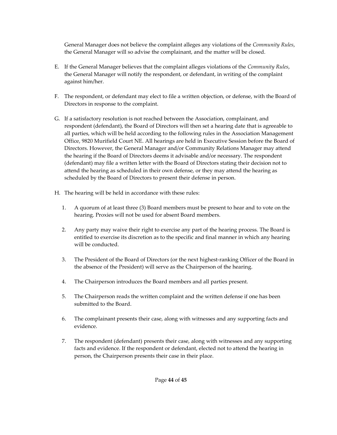General Manager does not believe the complaint alleges any violations of the *Community Rules*, the General Manager will so advise the complainant, and the matter will be closed.

- E. If the General Manager believes that the complaint alleges violations of the *Community Rules*, the General Manager will notify the respondent, or defendant, in writing of the complaint against him/her.
- F. The respondent, or defendant may elect to file a written objection, or defense, with the Board of Directors in response to the complaint.
- G. If a satisfactory resolution is not reached between the Association, complainant, and respondent (defendant), the Board of Directors will then set a hearing date that is agreeable to all parties, which will be held according to the following rules in the Association Management Office, 9820 Murifield Court NE. All hearings are held in Executive Session before the Board of Directors. However, the General Manager and/or Community Relations Manager may attend the hearing if the Board of Directors deems it advisable and/or necessary. The respondent (defendant) may file a written letter with the Board of Directors stating their decision not to attend the hearing as scheduled in their own defense, or they may attend the hearing as scheduled by the Board of Directors to present their defense in person.
- H. The hearing will be held in accordance with these rules:
	- 1. A quorum of at least three (3) Board members must be present to hear and to vote on the hearing. Proxies will not be used for absent Board members.
	- 2. Any party may waive their right to exercise any part of the hearing process. The Board is entitled to exercise its discretion as to the specific and final manner in which any hearing will be conducted.
	- 3. The President of the Board of Directors (or the next highest-ranking Officer of the Board in the absence of the President) will serve as the Chairperson of the hearing.
	- 4. The Chairperson introduces the Board members and all parties present.
	- 5. The Chairperson reads the written complaint and the written defense if one has been submitted to the Board.
	- 6. The complainant presents their case, along with witnesses and any supporting facts and evidence.
	- 7. The respondent (defendant) presents their case, along with witnesses and any supporting facts and evidence. If the respondent or defendant, elected not to attend the hearing in person, the Chairperson presents their case in their place.